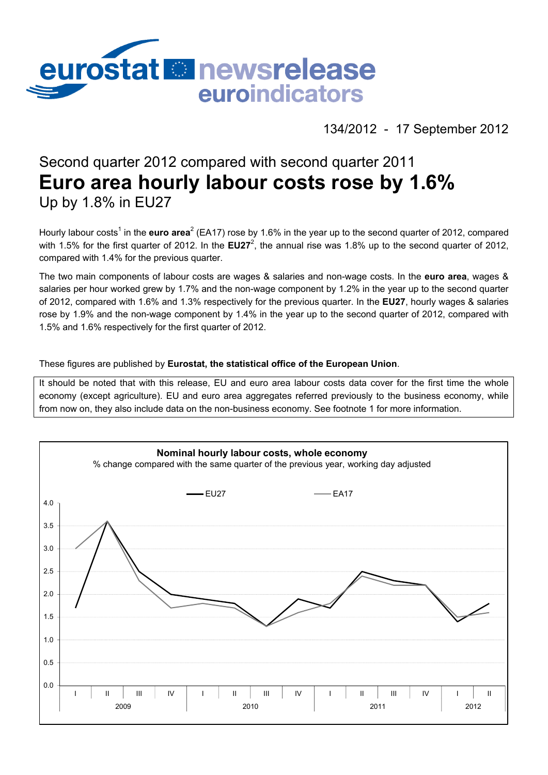

# 134/2012 - 17 September 2012

# Second quarter 2012 compared with second quarter 2011 **Euro area hourly labour costs rose by 1.6%**  Up by 1.8% in EU27

Hourly labour costs<sup>1</sup> in the **euro area**<sup>2</sup> (EA17) rose by 1.6% in the year up to the second quarter of 2012, compared with 1.5% for the first quarter of 2012. In the **EU27**<sup>2</sup>, the annual rise was 1.8% up to the second quarter of 2012, compared with 1.4% for the previous quarter.

The two main components of labour costs are wages & salaries and non-wage costs. In the **euro area**, wages & salaries per hour worked grew by 1.7% and the non-wage component by 1.2% in the year up to the second quarter of 2012, compared with 1.6% and 1.3% respectively for the previous quarter. In the **EU27**, hourly wages & salaries rose by 1.9% and the non-wage component by 1.4% in the year up to the second quarter of 2012, compared with 1.5% and 1.6% respectively for the first quarter of 2012.

# These figures are published by **Eurostat, the statistical office of the European Union**.

It should be noted that with this release, EU and euro area labour costs data cover for the first time the whole economy (except agriculture). EU and euro area aggregates referred previously to the business economy, while from now on, they also include data on the non-business economy. See footnote 1 for more information.

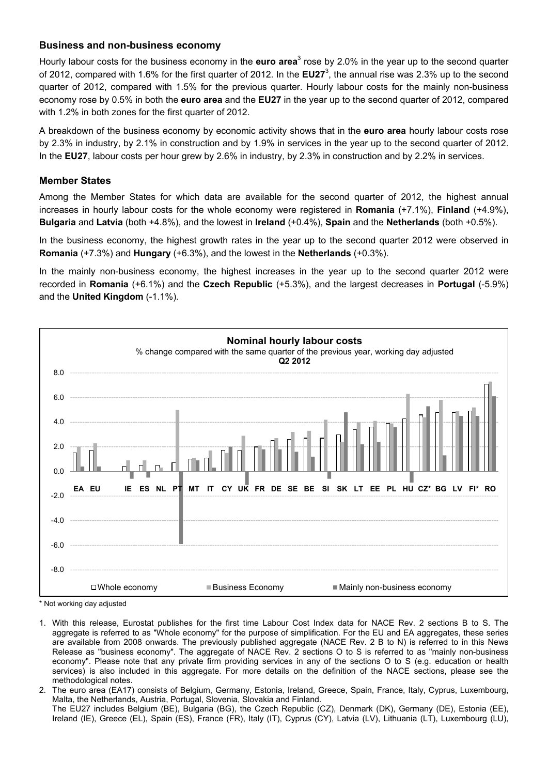# **Business and non-business economy**

Hourly labour costs for the business economy in the **euro area**<sup>3</sup> rose by 2.0% in the year up to the second quarter of 2012, compared with 1.6% for the first quarter of 2012. In the EU27<sup>3</sup>, the annual rise was 2.3% up to the second quarter of 2012, compared with 1.5% for the previous quarter. Hourly labour costs for the mainly non-business economy rose by 0.5% in both the **euro area** and the **EU27** in the year up to the second quarter of 2012, compared with 1.2% in both zones for the first quarter of 2012.

A breakdown of the business economy by economic activity shows that in the **euro area** hourly labour costs rose by 2.3% in industry, by 2.1% in construction and by 1.9% in services in the year up to the second quarter of 2012. In the **EU27**, labour costs per hour grew by 2.6% in industry, by 2.3% in construction and by 2.2% in services.

# **Member States**

Among the Member States for which data are available for the second quarter of 2012, the highest annual increases in hourly labour costs for the whole economy were registered in **Romania** (+7.1%), **Finland** (+4.9%), **Bulgaria** and **Latvia** (both +4.8%), and the lowest in **Ireland** (+0.4%), **Spain** and the **Netherlands** (both +0.5%).

In the business economy, the highest growth rates in the year up to the second quarter 2012 were observed in **Romania** (+7.3%) and **Hungary** (+6.3%), and the lowest in the **Netherlands** (+0.3%).

In the mainly non-business economy, the highest increases in the year up to the second quarter 2012 were recorded in **Romania** (+6.1%) and the **Czech Republic** (+5.3%), and the largest decreases in **Portugal** (-5.9%) and the **United Kingdom** (-1.1%).



\* Not working day adjusted

- 1. With this release, Eurostat publishes for the first time Labour Cost Index data for NACE Rev. 2 sections B to S. The aggregate is referred to as "Whole economy" for the purpose of simplification. For the EU and EA aggregates, these series are available from 2008 onwards. The previously published aggregate (NACE Rev. 2 B to N) is referred to in this News Release as "business economy". The aggregate of NACE Rev. 2 sections O to S is referred to as "mainly non-business economy". Please note that any private firm providing services in any of the sections O to S (e.g. education or health services) is also included in this aggregate. For more details on the definition of the NACE sections, please see the methodological notes.
- 2. The euro area (EA17) consists of Belgium, Germany, Estonia, Ireland, Greece, Spain, France, Italy, Cyprus, Luxembourg, Malta, the Netherlands, Austria, Portugal, Slovenia, Slovakia and Finland. The EU27 includes Belgium (BE), Bulgaria (BG), the Czech Republic (CZ), Denmark (DK), Germany (DE), Estonia (EE), Ireland (IE), Greece (EL), Spain (ES), France (FR), Italy (IT), Cyprus (CY), Latvia (LV), Lithuania (LT), Luxembourg (LU),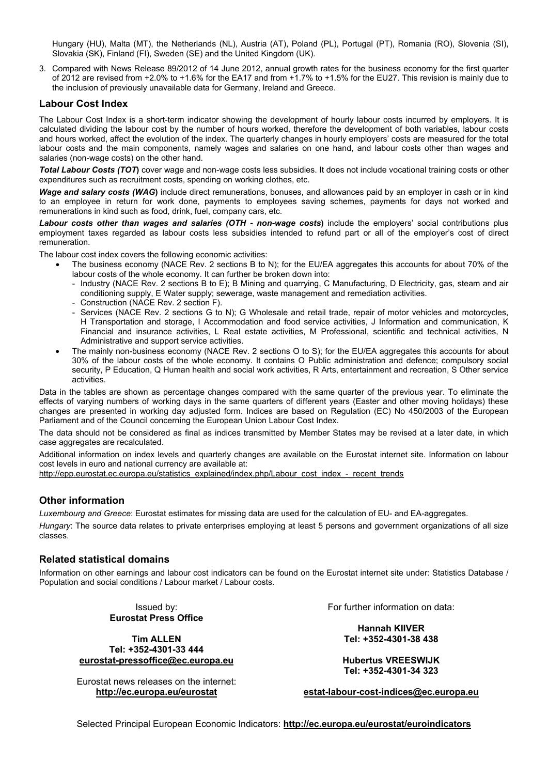Hungary (HU), Malta (MT), the Netherlands (NL), Austria (AT), Poland (PL), Portugal (PT), Romania (RO), Slovenia (SI), Slovakia (SK), Finland (FI), Sweden (SE) and the United Kingdom (UK).

3. Compared with News Release 89/2012 of 14 June 2012, annual growth rates for the business economy for the first quarter of 2012 are revised from +2.0% to +1.6% for the EA17 and from +1.7% to +1.5% for the EU27. This revision is mainly due to the inclusion of previously unavailable data for Germany, Ireland and Greece.

## **Labour Cost Index**

The Labour Cost Index is a short-term indicator showing the development of hourly labour costs incurred by employers. It is calculated dividing the labour cost by the number of hours worked, therefore the development of both variables, labour costs and hours worked, affect the evolution of the index. The quarterly changes in hourly employers' costs are measured for the total labour costs and the main components, namely wages and salaries on one hand, and labour costs other than wages and salaries (non-wage costs) on the other hand.

*Total Labour Costs (TOT***)** cover wage and non-wage costs less subsidies. It does not include vocational training costs or other expenditures such as recruitment costs, spending on working clothes, etc.

*Wage and salary costs (WAG***)** include direct remunerations, bonuses, and allowances paid by an employer in cash or in kind to an employee in return for work done, payments to employees saving schemes, payments for days not worked and remunerations in kind such as food, drink, fuel, company cars, etc.

Labour costs other than wages and salaries (OTH - non-wage costs) include the employers' social contributions plus employment taxes regarded as labour costs less subsidies intended to refund part or all of the employer's cost of direct remuneration.

The labour cost index covers the following economic activities:

- The business economy (NACE Rev. 2 sections B to N); for the EU/EA aggregates this accounts for about 70% of the labour costs of the whole economy. It can further be broken down into:
	- Industry (NACE Rev. 2 sections B to E); B Mining and quarrying, C Manufacturing, D Electricity, gas, steam and air conditioning supply, E Water supply; sewerage, waste management and remediation activities.
	- Construction (NACE Rev. 2 section F).
	- Services (NACE Rev. 2 sections G to N); G Wholesale and retail trade, repair of motor vehicles and motorcycles, H Transportation and storage, I Accommodation and food service activities, J Information and communication, K Financial and insurance activities, L Real estate activities, M Professional, scientific and technical activities, N Administrative and support service activities.
- The mainly non-business economy (NACE Rev. 2 sections O to S); for the EU/EA aggregates this accounts for about 30% of the labour costs of the whole economy. It contains O Public administration and defence; compulsory social security, P Education, Q Human health and social work activities, R Arts, entertainment and recreation, S Other service activities.

Data in the tables are shown as percentage changes compared with the same quarter of the previous year. To eliminate the effects of varying numbers of working days in the same quarters of different years (Easter and other moving holidays) these changes are presented in working day adjusted form. Indices are based on Regulation (EC) No 450/2003 of the European Parliament and of the Council concerning the European Union Labour Cost Index.

The data should not be considered as final as indices transmitted by Member States may be revised at a later date, in which case aggregates are recalculated.

Additional information on index levels and quarterly changes are available on the Eurostat internet site. Information on labour cost levels in euro and national currency are available at:

http://epp.eurostat.ec.europa.eu/statistics\_explained/index.php/Labour\_cost\_index\_-\_recent\_trends

#### **Other information**

*Luxembourg and Greece*: Eurostat estimates for missing data are used for the calculation of EU- and EA-aggregates. *Hungary*: The source data relates to private enterprises employing at least 5 persons and government organizations of all size classes.

#### **Related statistical domains**

Information on other earnings and labour cost indicators can be found on the Eurostat internet site under: Statistics Database / Population and social conditions / Labour market / Labour costs.

> Issued by: **Eurostat Press Office**

**Tim ALLEN Tel: +352-4301-33 444 eurostat-pressoffice@ec.europa.eu** 

Eurostat news releases on the internet: **http://ec.europa.eu/eurostat** 

For further information on data:

**Hannah KIIVER Tel: +352-4301-38 438** 

**Hubertus VREESWIJK Tel: +352-4301-34 323** 

**estat-labour-cost-indices@ec.europa.eu** 

Selected Principal European Economic Indicators: **http://ec.europa.eu/eurostat/euroindicators**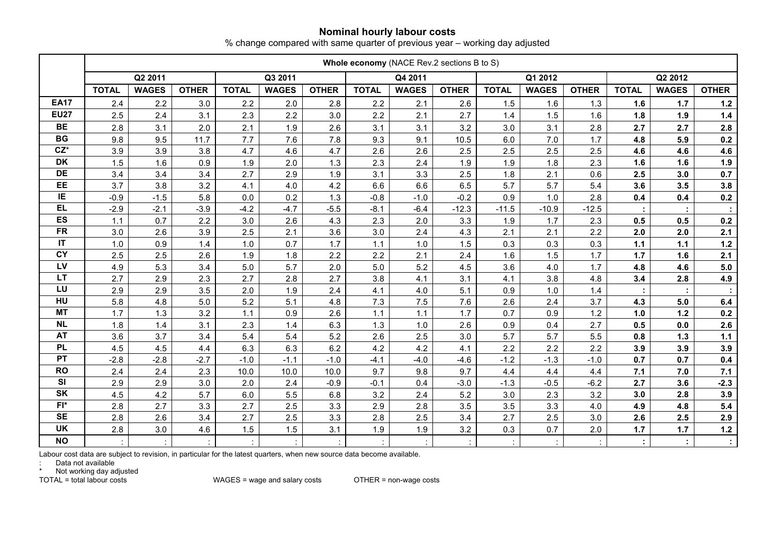## **Nominal hourly labour costs**

% change compared with same quarter of previous year – working day adjusted

|                        | Whole economy (NACE Rev.2 sections B to S) |              |              |              |              |              |              |              |              |              |              |              |              |              |              |
|------------------------|--------------------------------------------|--------------|--------------|--------------|--------------|--------------|--------------|--------------|--------------|--------------|--------------|--------------|--------------|--------------|--------------|
|                        |                                            | Q2 2011      |              |              | Q3 2011      |              |              | Q4 2011      |              |              | Q1 2012      |              |              | Q2 2012      |              |
|                        | <b>TOTAL</b>                               | <b>WAGES</b> | <b>OTHER</b> | <b>TOTAL</b> | <b>WAGES</b> | <b>OTHER</b> | <b>TOTAL</b> | <b>WAGES</b> | <b>OTHER</b> | <b>TOTAL</b> | <b>WAGES</b> | <b>OTHER</b> | <b>TOTAL</b> | <b>WAGES</b> | <b>OTHER</b> |
| <b>EA17</b>            | 2.4                                        | 2.2          | 3.0          | 2.2          | 2.0          | 2.8          | 2.2          | 2.1          | 2.6          | 1.5          | 1.6          | 1.3          | 1.6          | $1.7$        | $1.2$        |
| <b>EU27</b>            | 2.5                                        | 2.4          | 3.1          | 2.3          | 2.2          | 3.0          | 2.2          | 2.1          | 2.7          | 1.4          | 1.5          | 1.6          | 1.8          | 1.9          | $1.4$        |
| <b>BE</b>              | 2.8                                        | 3.1          | 2.0          | 2.1          | 1.9          | 2.6          | 3.1          | 3.1          | 3.2          | 3.0          | 3.1          | 2.8          | 2.7          | 2.7          | 2.8          |
| <b>BG</b>              | 9.8                                        | 9.5          | 11.7         | 7.7          | 7.6          | 7.8          | 9.3          | 9.1          | 10.5         | 6.0          | $7.0$        | 1.7          | 4.8          | 5.9          | 0.2          |
| $CZ^*$                 | 3.9                                        | 3.9          | 3.8          | 4.7          | 4.6          | 4.7          | 2.6          | 2.6          | 2.5          | 2.5          | 2.5          | 2.5          | 4.6          | 4.6          | 4.6          |
| <b>DK</b>              | 1.5                                        | 1.6          | 0.9          | 1.9          | 2.0          | 1.3          | 2.3          | 2.4          | 1.9          | 1.9          | 1.8          | 2.3          | 1.6          | 1.6          | 1.9          |
| DE                     | 3.4                                        | 3.4          | 3.4          | 2.7          | 2.9          | 1.9          | 3.1          | 3.3          | 2.5          | 1.8          | 2.1          | 0.6          | 2.5          | 3.0          | 0.7          |
| EE                     | 3.7                                        | 3.8          | 3.2          | 4.1          | 4.0          | 4.2          | 6.6          | 6.6          | 6.5          | 5.7          | 5.7          | 5.4          | 3.6          | 3.5          | 3.8          |
| IE.                    | $-0.9$                                     | $-1.5$       | 5.8          | 0.0          | 0.2          | 1.3          | $-0.8$       | $-1.0$       | $-0.2$       | 0.9          | 1.0          | 2.8          | 0.4          | 0.4          | 0.2          |
| <b>EL</b>              | $-2.9$                                     | $-2.1$       | $-3.9$       | $-4.2$       | $-4.7$       | $-5.5$       | $-8.1$       | $-6.4$       | $-12.3$      | $-11.5$      | $-10.9$      | $-12.5$      |              |              |              |
| ES                     | 1.1                                        | 0.7          | 2.2          | 3.0          | 2.6          | 4.3          | 2.3          | 2.0          | 3.3          | 1.9          | 1.7          | 2.3          | 0.5          | 0.5          | 0.2          |
| <b>FR</b>              | 3.0                                        | 2.6          | 3.9          | 2.5          | 2.1          | 3.6          | 3.0          | 2.4          | 4.3          | 2.1          | 2.1          | 2.2          | 2.0          | 2.0          | 2.1          |
| $\mathsf{I}\mathsf{T}$ | 1.0                                        | 0.9          | 1.4          | 1.0          | 0.7          | 1.7          | 1.1          | 1.0          | 1.5          | 0.3          | 0.3          | 0.3          | $1.1$        | $1.1$        | $1.2$        |
| <b>CY</b>              | 2.5                                        | 2.5          | 2.6          | 1.9          | 1.8          | 2.2          | 2.2          | 2.1          | 2.4          | 1.6          | 1.5          | 1.7          | $1.7$        | 1.6          | 2.1          |
| LV                     | 4.9                                        | 5.3          | 3.4          | 5.0          | 5.7          | 2.0          | 5.0          | 5.2          | 4.5          | 3.6          | 4.0          | 1.7          | 4.8          | 4.6          | 5.0          |
| LT                     | 2.7                                        | 2.9          | 2.3          | 2.7          | 2.8          | 2.7          | 3.8          | 4.1          | 3.1          | 4.1          | 3.8          | 4.8          | 3.4          | 2.8          | 4.9          |
| LU                     | 2.9                                        | 2.9          | 3.5          | 2.0          | 1.9          | 2.4          | 4.1          | 4.0          | 5.1          | 0.9          | 1.0          | 1.4          |              |              |              |
| HU                     | 5.8                                        | 4.8          | 5.0          | 5.2          | 5.1          | 4.8          | 7.3          | 7.5          | 7.6          | 2.6          | 2.4          | 3.7          | 4.3          | 5.0          | 6.4          |
| <b>MT</b>              | 1.7                                        | 1.3          | 3.2          | $1.1$        | 0.9          | 2.6          | $1.1$        | 1.1          | 1.7          | 0.7          | 0.9          | 1.2          | 1.0          | $1.2$        | 0.2          |
| <b>NL</b>              | 1.8                                        | 1.4          | 3.1          | 2.3          | 1.4          | 6.3          | 1.3          | 1.0          | 2.6          | 0.9          | 0.4          | 2.7          | 0.5          | 0.0          | 2.6          |
| <b>AT</b>              | 3.6                                        | 3.7          | 3.4          | 5.4          | 5.4          | 5.2          | 2.6          | 2.5          | 3.0          | 5.7          | 5.7          | 5.5          | 0.8          | $1.3$        | $1.1$        |
| <b>PL</b>              | 4.5                                        | 4.5          | 4.4          | 6.3          | 6.3          | 6.2          | 4.2          | 4.2          | 4.1          | 2.2          | 2.2          | 2.2          | 3.9          | 3.9          | 3.9          |
| PT                     | $-2.8$                                     | $-2.8$       | $-2.7$       | $-1.0$       | $-1.1$       | $-1.0$       | $-4.1$       | $-4.0$       | $-4.6$       | $-1.2$       | $-1.3$       | $-1.0$       | 0.7          | 0.7          | 0.4          |
| <b>RO</b>              | 2.4                                        | 2.4          | 2.3          | 10.0         | 10.0         | 10.0         | 9.7          | 9.8          | 9.7          | 4.4          | 4.4          | 4.4          | 7.1          | 7.0          | $7.1$        |
| SI                     | 2.9                                        | 2.9          | 3.0          | 2.0          | 2.4          | $-0.9$       | $-0.1$       | 0.4          | $-3.0$       | $-1.3$       | $-0.5$       | $-6.2$       | 2.7          | 3.6          | $-2.3$       |
| SK                     | 4.5                                        | 4.2          | 5.7          | 6.0          | 5.5          | 6.8          | 3.2          | 2.4          | 5.2          | 3.0          | 2.3          | 3.2          | 3.0          | 2.8          | 3.9          |
| $FI^*$                 | 2.8                                        | 2.7          | 3.3          | 2.7          | 2.5          | 3.3          | 2.9          | 2.8          | 3.5          | 3.5          | 3.3          | 4.0          | 4.9          | 4.8          | 5.4          |
| <b>SE</b>              | 2.8                                        | 2.6          | 3.4          | 2.7          | 2.5          | 3.3          | 2.8          | 2.5          | 3.4          | 2.7          | 2.5          | 3.0          | 2.6          | 2.5          | 2.9          |
| <b>UK</b>              | 2.8                                        | 3.0          | 4.6          | 1.5          | 1.5          | 3.1          | 1.9          | 1.9          | 3.2          | 0.3          | 0.7          | 2.0          | 1.7          | $1.7$        | $1.2$        |
| <b>NO</b>              |                                            |              |              |              |              |              |              |              |              |              |              |              |              | ÷            |              |

Labour cost data are subject to revision, in particular for the latest quarters, when new source data become available.<br>: Data not available<br>\* Not working day adjusted

TOTAL = total labour costs WAGES = wage and salary costs OTHER = non-wage costs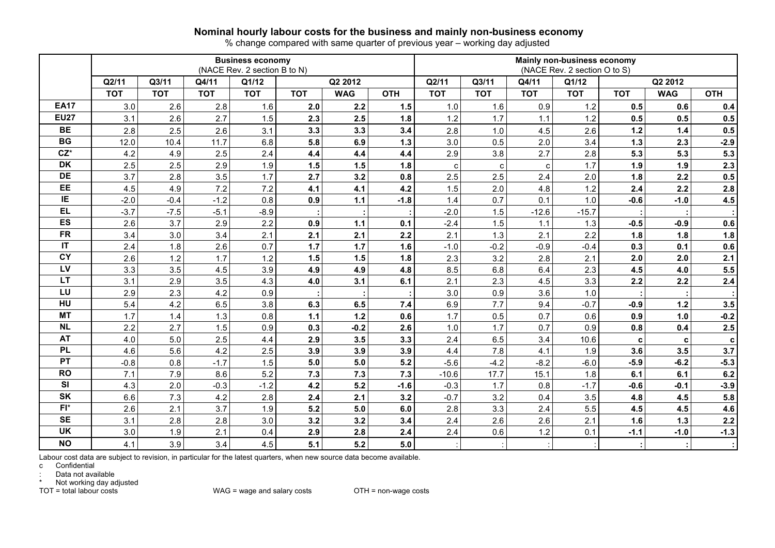#### **Nominal hourly labour costs for the business and mainly non-business economy**

% change compared with same quarter of previous year – working day adjusted

|             |                                  |            |            | <b>Business economy</b><br>(NACE Rev. 2 section B to N) |            |            | Mainly non-business economy<br>(NACE Rev. 2 section O to S) |                |            |                |            |            |             |            |  |  |
|-------------|----------------------------------|------------|------------|---------------------------------------------------------|------------|------------|-------------------------------------------------------------|----------------|------------|----------------|------------|------------|-------------|------------|--|--|
|             | Q2/11<br>Q3/11<br>Q1/12<br>Q4/11 |            |            |                                                         |            | Q2 2012    |                                                             | Q3/11<br>Q2/11 |            | Q1/12<br>Q4/11 |            |            |             |            |  |  |
|             | <b>TOT</b>                       | <b>TOT</b> | <b>TOT</b> | <b>TOT</b>                                              | <b>TOT</b> | <b>WAG</b> | <b>OTH</b>                                                  | <b>TOT</b>     | <b>TOT</b> | <b>TOT</b>     | <b>TOT</b> | <b>TOT</b> | <b>WAG</b>  | <b>OTH</b> |  |  |
| <b>EA17</b> | 3.0                              | 2.6        | 2.8        | 1.6                                                     | 2.0        | 2.2        | 1.5                                                         | 1.0            | 1.6        | 0.9            | 1.2        | 0.5        | 0.6         | 0.4        |  |  |
| <b>EU27</b> | 3.1                              | 2.6        | 2.7        | 1.5                                                     | 2.3        | 2.5        | 1.8                                                         | 1.2            | 1.7        | 1.1            | 1.2        | 0.5        | 0.5         | 0.5        |  |  |
| <b>BE</b>   | 2.8                              | 2.5        | 2.6        | 3.1                                                     | 3.3        | 3.3        | 3.4                                                         | 2.8            | 1.0        | 4.5            | 2.6        | $1.2$      | 1.4         | 0.5        |  |  |
| <b>BG</b>   | 12.0                             | 10.4       | 11.7       | 6.8                                                     | 5.8        | 6.9        | 1.3                                                         | 3.0            | 0.5        | 2.0            | 3.4        | $1.3$      | 2.3         | $-2.9$     |  |  |
| $CZ^*$      | 4.2                              | 4.9        | 2.5        | 2.4                                                     | 4.4        | 4.4        | 4.4                                                         | 2.9            | 3.8        | 2.7            | 2.8        | 5.3        | 5.3         | 5.3        |  |  |
| <b>DK</b>   | 2.5                              | 2.5        | 2.9        | 1.9                                                     | 1.5        | 1.5        | 1.8                                                         | $\mathbf{C}$   | C          | $\mathbf{C}$   | 1.7        | 1.9        | 1.9         | 2.3        |  |  |
| <b>DE</b>   | 3.7                              | 2.8        | 3.5        | 1.7                                                     | 2.7        | 3.2        | 0.8                                                         | 2.5            | 2.5        | 2.4            | 2.0        | 1.8        | 2.2         | 0.5        |  |  |
| EE          | 4.5                              | 4.9        | 7.2        | 7.2                                                     | 4.1        | 4.1        | 4.2                                                         | 1.5            | 2.0        | 4.8            | 1.2        | 2.4        | 2.2         | 2.8        |  |  |
| IE          | $-2.0$                           | $-0.4$     | $-1.2$     | 0.8                                                     | 0.9        | $1.1$      | $-1.8$                                                      | 1.4            | 0.7        | 0.1            | 1.0        | $-0.6$     | $-1.0$      | 4.5        |  |  |
| <b>EL</b>   | $-3.7$                           | $-7.5$     | $-5.1$     | $-8.9$                                                  |            |            |                                                             | $-2.0$         | 1.5        | $-12.6$        | $-15.7$    |            |             |            |  |  |
| ES          | 2.6                              | 3.7        | 2.9        | 2.2                                                     | 0.9        | $1.1$      | 0.1                                                         | $-2.4$         | 1.5        | 1.1            | 1.3        | $-0.5$     | $-0.9$      | 0.6        |  |  |
| <b>FR</b>   | 3.4                              | 3.0        | 3.4        | 2.1                                                     | 2.1        | 2.1        | 2.2                                                         | 2.1            | 1.3        | 2.1            | 2.2        | 1.8        | 1.8         | 1.8        |  |  |
| IT          | 2.4                              | 1.8        | 2.6        | 0.7                                                     | 1.7        | 1.7        | 1.6                                                         | $-1.0$         | $-0.2$     | $-0.9$         | $-0.4$     | 0.3        | 0.1         | 0.6        |  |  |
| <b>CY</b>   | 2.6                              | 1.2        | 1.7        | 1.2                                                     | 1.5        | 1.5        | 1.8                                                         | 2.3            | 3.2        | 2.8            | 2.1        | 2.0        | 2.0         | 2.1        |  |  |
| LV          | 3.3                              | 3.5        | 4.5        | 3.9                                                     | 4.9        | 4.9        | 4.8                                                         | 8.5            | 6.8        | 6.4            | 2.3        | 4.5        | 4.0         | 5.5        |  |  |
| <b>LT</b>   | 3.1                              | 2.9        | 3.5        | 4.3                                                     | 4.0        | 3.1        | 6.1                                                         | 2.1            | 2.3        | 4.5            | 3.3        | 2.2        | 2.2         | 2.4        |  |  |
| LU          | 2.9                              | 2.3        | 4.2        | 0.9                                                     |            |            |                                                             | 3.0            | 0.9        | 3.6            | 1.0        |            |             |            |  |  |
| HU          | 5.4                              | 4.2        | 6.5        | 3.8                                                     | 6.3        | 6.5        | 7.4                                                         | 6.9            | 7.7        | 9.4            | $-0.7$     | $-0.9$     | 1.2         | 3.5        |  |  |
| <b>MT</b>   | 1.7                              | 1.4        | 1.3        | 0.8                                                     | $1.1$      | 1.2        | 0.6                                                         | 1.7            | 0.5        | 0.7            | 0.6        | 0.9        | 1.0         | $-0.2$     |  |  |
| <b>NL</b>   | 2.2                              | 2.7        | 1.5        | 0.9                                                     | 0.3        | $-0.2$     | 2.6                                                         | 1.0            | 1.7        | 0.7            | 0.9        | 0.8        | 0.4         | 2.5        |  |  |
| <b>AT</b>   | 4.0                              | 5.0        | 2.5        | 4.4                                                     | 2.9        | 3.5        | 3.3                                                         | 2.4            | 6.5        | 3.4            | 10.6       | c          | $\mathbf c$ | C          |  |  |
| <b>PL</b>   | 4.6                              | 5.6        | 4.2        | 2.5                                                     | 3.9        | 3.9        | 3.9                                                         | 4.4            | 7.8        | 4.1            | 1.9        | 3.6        | 3.5         | 3.7        |  |  |
| <b>PT</b>   | $-0.8$                           | 0.8        | $-1.7$     | 1.5                                                     | 5.0        | 5.0        | 5.2                                                         | $-5.6$         | $-4.2$     | $-8.2$         | $-6.0$     | $-5.9$     | $-6.2$      | $-5.3$     |  |  |
| <b>RO</b>   | 7.1                              | 7.9        | 8.6        | 5.2                                                     | 7.3        | 7.3        | 7.3                                                         | $-10.6$        | 17.7       | 15.1           | 1.8        | 6.1        | 6.1         | 6.2        |  |  |
| <b>SI</b>   | 4.3                              | 2.0        | $-0.3$     | $-1.2$                                                  | 4.2        | 5.2        | $-1.6$                                                      | $-0.3$         | 1.7        | 0.8            | $-1.7$     | $-0.6$     | $-0.1$      | $-3.9$     |  |  |
| <b>SK</b>   | 6.6                              | 7.3        | 4.2        | 2.8                                                     | 2.4        | 2.1        | 3.2                                                         | $-0.7$         | 3.2        | 0.4            | 3.5        | 4.8        | 4.5         | 5.8        |  |  |
| $FI^*$      | 2.6                              | 2.1        | 3.7        | 1.9                                                     | 5.2        | 5.0        | 6.0                                                         | 2.8            | 3.3        | 2.4            | 5.5        | 4.5        | 4.5         | 4.6        |  |  |
| <b>SE</b>   | 3.1                              | 2.8        | 2.8        | 3.0                                                     | 3.2        | 3.2        | 3.4                                                         | 2.4            | 2.6        | 2.6            | 2.1        | 1.6        | 1.3         | 2.2        |  |  |
| <b>UK</b>   | 3.0                              | 1.9        | 2.1        | 0.4                                                     | 2.9        | 2.8        | 2.4                                                         | 2.4            | 0.6        | $1.2$          | 0.1        | $-1.1$     | $-1.0$      | $-1.3$     |  |  |
| <b>NO</b>   | 4.1                              | 3.9        | 3.4        | 4.5                                                     | 5.1        | 5.2        | 5.0                                                         |                |            |                |            |            |             |            |  |  |

Labour cost data are subject to revision, in particular for the latest quarters, when new source data become available.

c Confidential

: Data not available

\* Not working day adjusted<br>TOT = total labour costs

 $WAG$  = wage and salary costs  $OTH$  = non-wage costs